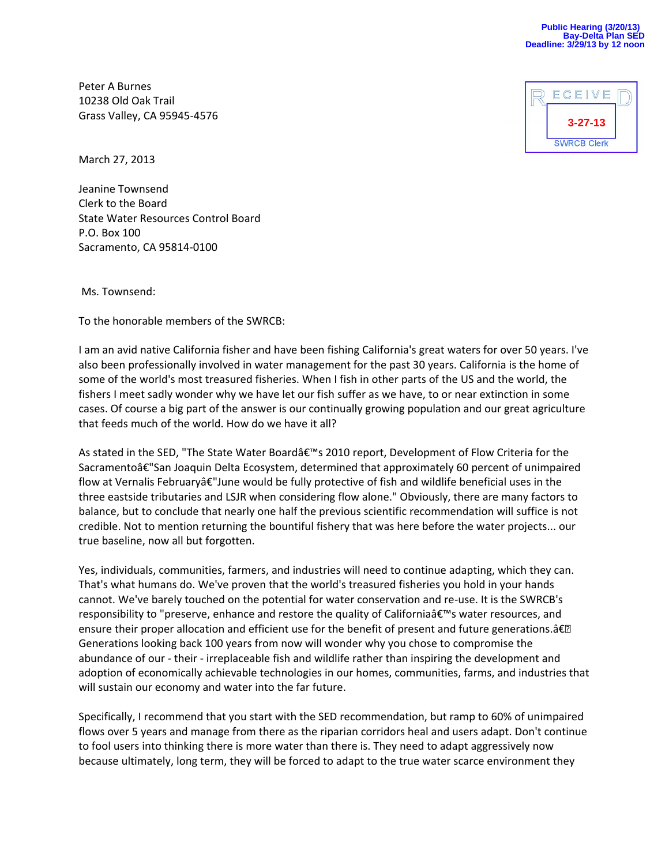Peter A Burnes 10238 Old Oak Trail Grass Valley, CA 95945-4576



March 27, 2013

Jeanine Townsend Clerk to the Board State Water Resources Control Board P.O. Box 100 Sacramento, CA 95814-0100

Ms. Townsend:

To the honorable members of the SWRCB:

I am an avid native California fisher and have been fishing California's great waters for over 50 years. I've also been professionally involved in water management for the past 30 years. California is the home of some of the world's most treasured fisheries. When I fish in other parts of the US and the world, the fishers I meet sadly wonder why we have let our fish suffer as we have, to or near extinction in some cases. Of course a big part of the answer is our continually growing population and our great agriculture that feeds much of the world. How do we have it all?

As stated in the SED, "The State Water Board's 2010 report, Development of Flow Criteria for the Sacramentoâ€"San Joaquin Delta Ecosystem, determined that approximately 60 percent of unimpaired flow at Vernalis Februaryâ€"June would be fully protective of fish and wildlife beneficial uses in the three eastside tributaries and LSJR when considering flow alone." Obviously, there are many factors to balance, but to conclude that nearly one half the previous scientific recommendation will suffice is not credible. Not to mention returning the bountiful fishery that was here before the water projects... our true baseline, now all but forgotten.

Yes, individuals, communities, farmers, and industries will need to continue adapting, which they can. That's what humans do. We've proven that the world's treasured fisheries you hold in your hands cannot. We've barely touched on the potential for water conservation and re-use. It is the SWRCB's responsibility to "preserve, enhance and restore the quality of California's water resources, and ensure their proper allocation and efficient use for the benefit of present and future generations.― Generations looking back 100 years from now will wonder why you chose to compromise the abundance of our - their - irreplaceable fish and wildlife rather than inspiring the development and adoption of economically achievable technologies in our homes, communities, farms, and industries that will sustain our economy and water into the far future.

Specifically, I recommend that you start with the SED recommendation, but ramp to 60% of unimpaired flows over 5 years and manage from there as the riparian corridors heal and users adapt. Don't continue to fool users into thinking there is more water than there is. They need to adapt aggressively now because ultimately, long term, they will be forced to adapt to the true water scarce environment they